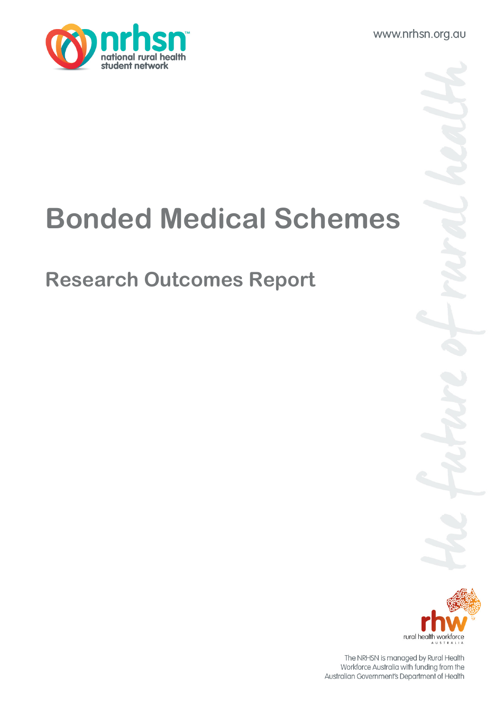www.nrhsn.org.au



# Bonded Medical Schemes

## Research Outcomes Report



The NRHSN is managed by Rural Health Workforce Australia with funding from the Australian Government's Department of Health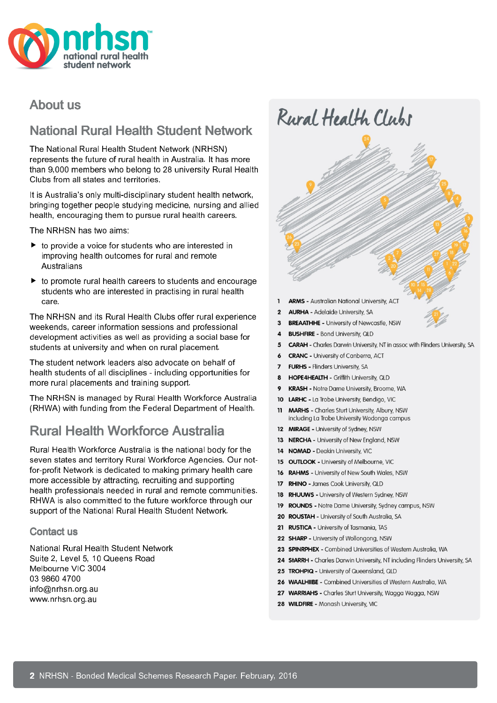

### **About us**

### National Rural Health Student Network

The National Rural Health Student Network (NRHSN) represents the future of rural health in Australia. It has more than 9,000 members who belong to 28 university Rural Health Clubs from all states and territories.

It is Australia's only multi-disciplinary student health network, bringing together people studying medicine, nursing and allied health, encouraging them to pursue rural health careers.

The NRHSN has two aims:

- $\triangleright$  to provide a voice for students who are interested in improving health outcomes for rural and remote Australians
- $\triangleright$  to promote rural health careers to students and encourage students who are interested in practising in rural health care.

The NRHSN and its Rural Health Clubs offer rural experience weekends, career information sessions and professional development activities as well as providing a social base for students at university and when on rural placement.

The student network leaders also advocate on behalf of health students of all disciplines - including opportunities for more rural placements and training support.

The NRHSN is managed by Rural Health Workforce Australia (RHWA) with funding from the Federal Department of Health.

## **Rural Health Workforce Australia**

Rural Health Workforce Australia is the national body for the seven states and territory Rural Workforce Agencies. Our notfor-profit Network is dedicated to making primary health care more accessible by attracting, recruiting and supporting health professionals needed in rural and remote communities. RHWA is also committed to the future workforce through our support of the National Rural Health Student Network.

#### Contact us

National Rural Health Student Network Suite 2, Level 5, 10 Queens Road Melbourne VIC 3004 03 9860 4700 info@nrhsn.org.au www.nrhsn.org.au



**MARHS** - Charles Sturt University, Albury, NSW including La Trobe University Wodonga campus

18 RHUUWS - University of Western Sydney, NSW

20 ROUSTAH - University of South Australia, SA 21 RUSTICA - University of Tasmania, TAS 22 SHARP - University of Wollongong, NSW

25 TROHPIQ - University of Queensland, QLD

28 WILDFIRE - Monash University, VIC

19 ROUNDS - Notre Dame University, Sydney campus, NSW

23 SPINRPHEX - Combined Universities of Western Australia, WA 24 StARRH - Charles Darwin University, NT including Flinders University, SA

26 WAALHIIBE - Combined Universities of Western Australia, WA 27 WARRIAHS - Charles Sturt University, Wagga Wagga, NSW

12 MIRAGE - University of Sydney, NSW 13 NERCHA - University of New England, NSW

14 NOMAD - Deakin University, VIC 15 OUTLOOK - University of Melbourne, VIC 16 RAHMS - University of New South Wales, NSW 17 RHINO - James Cook University, QLD

 $11$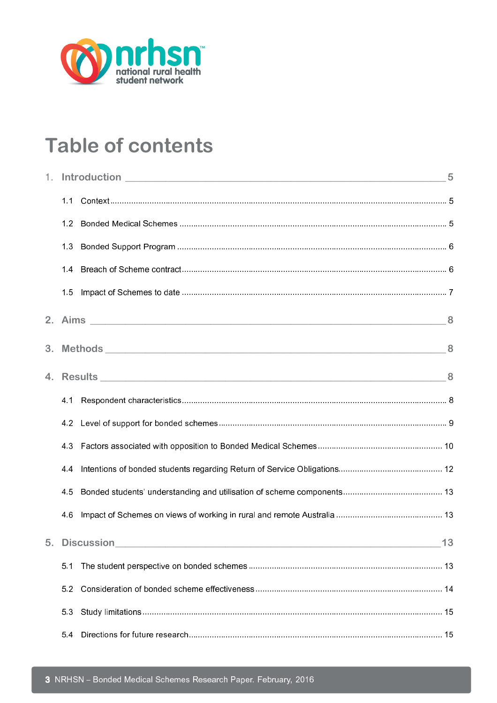

## **Table of contents**

| 1. |               | Introduction 5 |
|----|---------------|----------------|
|    | 1.1           |                |
|    | 1.2           |                |
|    | 13            |                |
|    | 14            |                |
|    | 15            |                |
|    |               |                |
|    |               |                |
|    |               |                |
|    | 4.1           |                |
|    | 4.2           |                |
|    | 43            |                |
|    | 44            |                |
|    | 45            |                |
|    | 46            |                |
|    | 5. Discussion | 13             |
|    | 5.1           |                |
|    | 52            |                |
|    | 53            |                |
|    | 54            |                |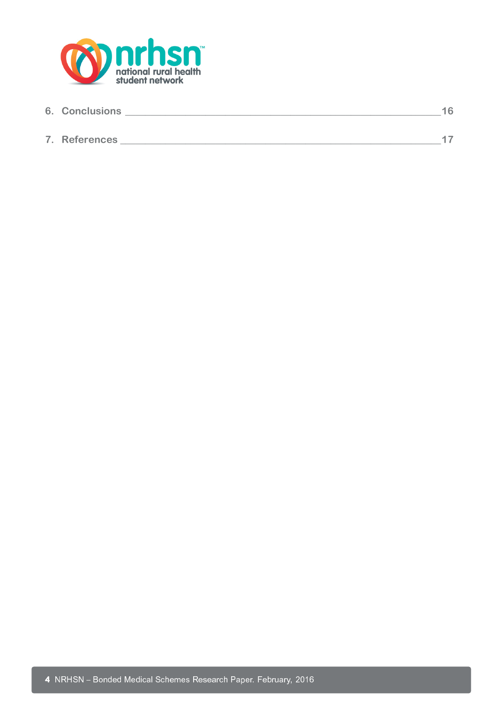

| <b>6. Conclusions</b> |  |
|-----------------------|--|
|                       |  |
| 7. References         |  |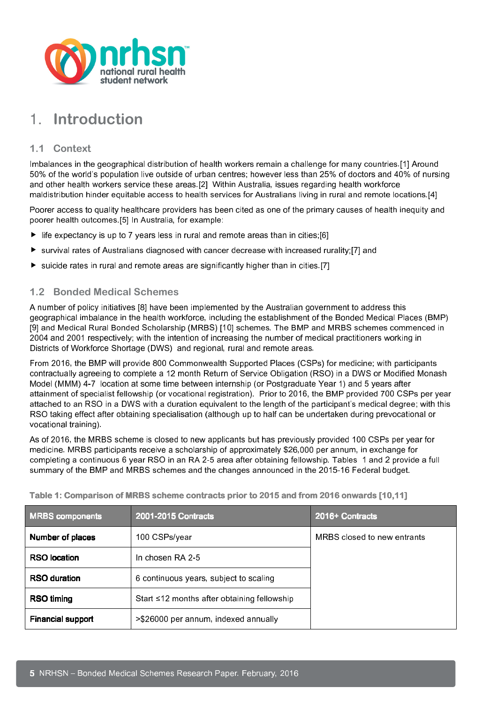

## 1. Introduction

#### 1.1 Context

Imbalances in the geographical distribution of health workers remain a challenge for many countries.[1] Around 50% of the world's population live outside of urban centres; however less than 25% of doctors and 40% of nursing and other health workers service these areas.[2] Within Australia, issues regarding health workforce maldistribution hinder equitable access to health services for Australians living in rural and remote locations.[4]

Poorer access to quality healthcare providers has been cited as one of the primary causes of health inequity and poorer health outcomes.[5] In Australia, for example:

- $\blacktriangleright$  life expectancy is up to 7 years less in rural and remote areas than in cities;[6]
- $\triangleright$  survival rates of Australians diagnosed with cancer decrease with increased rurality;[7] and
- $\triangleright$  suicide rates in rural and remote areas are significantly higher than in cities.[7]

#### 1.2 Bonded Medical Schemes

A number of policy initiatives [8] have been implemented by the Australian government to address this geographical imbalance in the health workforce, including the establishment of the Bonded Medical Places (BMP) [9] and Medical Rural Bonded Scholarship (MRBS) [10] schemes. The BMP and MRBS schemes commenced in 2004 and 2001 respectively; with the intention of increasing the number of medical practitioners working in Districts of Workforce Shortage (DWS) and regional, rural and remote areas.

From 2016, the BMP will provide 800 Commonwealth Supported Places (CSPs) for medicine; with participants contractually agreeing to complete a 12 month Return of Service Obligation (RSO) in a DWS or Modified Monash Model (MMM) 4-7 location at some time between internship (or Postgraduate Year 1) and 5 years after attainment of specialist fellowship (or vocational registration). Prior to 2016, the BMP provided 700 CSPs per year attached to an RSO in a DWS with a duration equivalent to the length of the participant's medical degree; with this RSO taking effect after obtaining specialisation (although up to half can be undertaken during prevocational or vocational training).

As of 2016, the MRBS scheme is closed to new applicants but has previously provided 100 CSPs per year for medicine. MRBS participants receive a scholarship of approximately \$26,000 per annum, in exchange for completing a continuous 6 year RSO in an RA 2-5 area after obtaining fellowship. Tables 1 and 2 provide a full summary of the BMP and MRBS schemes and the changes announced in the 2015-16 Federal budget.

| <b>MRBS</b> components   | 2001-2015 Contracts                               | 2016+ Contracts             |
|--------------------------|---------------------------------------------------|-----------------------------|
| Number of places         | 100 CSPs/year                                     | MRBS closed to new entrants |
| <b>RSO</b> location      | In chosen RA 2-5                                  |                             |
| <b>RSO duration</b>      | 6 continuous years, subject to scaling            |                             |
| <b>RSO timing</b>        | Start $\leq$ 12 months after obtaining fellowship |                             |
| <b>Financial support</b> | >\$26000 per annum, indexed annually              |                             |

Table 1: Comparison of MRBS scheme contracts prior to 2015 and from 2016 onwards [10,11]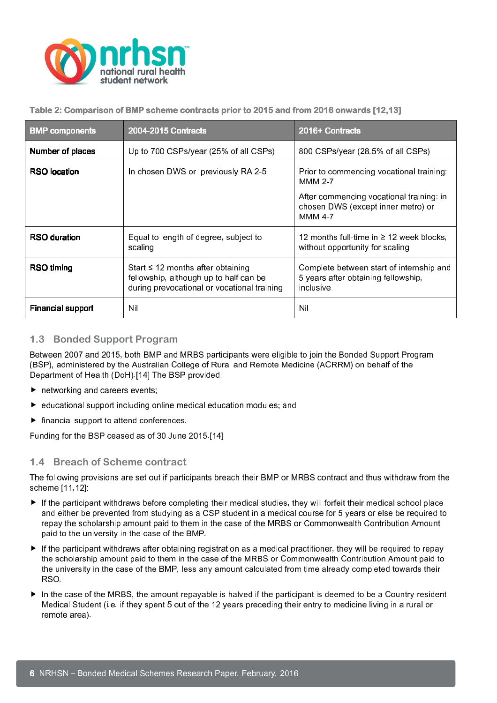

Table 2: Comparison of BMP scheme contracts prior to 2015 and from 2016 onwards [12,13]

| <b>BMP</b> components    | 2004-2015 Contracts                                                                                                             | 2016+ Contracts                                                                              |  |
|--------------------------|---------------------------------------------------------------------------------------------------------------------------------|----------------------------------------------------------------------------------------------|--|
| <b>Number of places</b>  | Up to 700 CSPs/year (25% of all CSPs)                                                                                           | 800 CSPs/year (28.5% of all CSPs)                                                            |  |
| <b>RSO</b> location      | In chosen DWS or previously RA 2-5                                                                                              | Prior to commencing vocational training.<br><b>MMM 2-7</b>                                   |  |
|                          |                                                                                                                                 | After commencing vocational training: in<br>chosen DWS (except inner metro) or<br>MMM 4-7    |  |
| <b>RSO duration</b>      | Equal to length of degree, subject to<br>scaling                                                                                | 12 months full-time in $\geq$ 12 week blocks,<br>without opportunity for scaling             |  |
| RSO timing               | Start $\leq$ 12 months after obtaining<br>fellowship, although up to half can be<br>during prevocational or vocational training | Complete between start of internship and<br>5 years after obtaining fellowship,<br>inclusive |  |
| <b>Financial support</b> | Nil                                                                                                                             | Nil                                                                                          |  |

#### 1.3 Bonded Support Program

Between 2007 and 2015, both BMP and MRBS participants were eligible to join the Bonded Support Program (BSP), administered by the Australian College of Rural and Remote Medicine (ACRRM) on behalf of the Department of Health (DoH).[14] The BSP provided:

- $\blacktriangleright$  networking and careers events;
- educational support including online medical education modules; and
- $\blacktriangleright$  financial support to attend conferences.

Funding for the BSP ceased as of 30 June 2015.[14]

#### 1.4 Breach of Scheme contract

The following provisions are set out if participants breach their BMP or MRBS contract and thus withdraw from the scheme [11,12]:

- If the participant withdraws before completing their medical studies, they will forfeit their medical school place and either be prevented from studying as a CSP student in a medical course for 5 years or else be required to repay the scholarship amount paid to them in the case of the MRBS or Commonwealth Contribution Amount paid to the university in the case of the BMP.
- If the participant withdraws after obtaining registration as a medical practitioner, they will be required to repay the scholarship amount paid to them in the case of the MRBS or Commonwealth Contribution Amount paid to the university in the case of the BMP, less any amount calculated from time already completed towards their RSO.
- In the case of the MRBS, the amount repayable is halved if the participant is deemed to be a Country-resident Medical Student (i.e. if they spent 5 out of the 12 years preceding their entry to medicine living in a rural or remote area).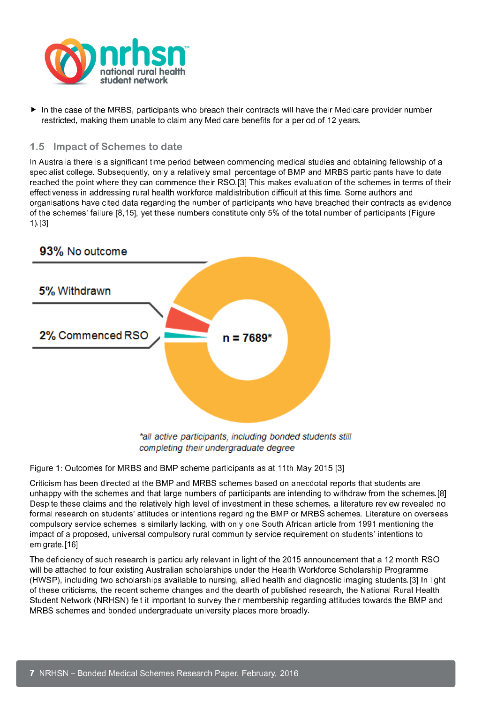

 In the case of the MRBS, participants who breach their contracts will have their Medicare provider number restricted, making them unable to claim any Medicare benefits for a period of 12 years.

#### 1.5 Impact of Schemes to date

In Australia there is a significant time period between commencing medical studies and obtaining fellowship of a specialist college. Subsequently, only a relatively small percentage of BMP and MRBS participants have to date reached the point where they can commence their RSO.[3] This makes evaluation of the schemes in terms of their effectiveness in addressing rural health workforce maldistribution difficult at this time. Some authors and organisations have cited data regarding the number of participants who have breached their contracts as evidence of the schemes' failure [8,15], yet these numbers constitute only 5% of the total number of participants (Figure 1).[3]



completing their undergraduate degree

Figure 1: Outcomes for MRBS and BMP scheme participants as at 11th May 2015 [3]

Criticism has been directed at the BMP and MRBS schemes based on anecdotal reports that students are unhappy with the schemes and that large numbers of participants are intending to withdraw from the schemes.[8] Despite these claims and the relatively high level of investment in these schemes, a literature review revealed no formal research on students' attitudes or intentions regarding the BMP or MRBS schemes. Literature on overseas compulsory service schemes is similarly lacking, with only one South African article from 1991 mentioning the impact of a proposed, universal compulsory rural community service requirement on students' intentions to emigrate.[16]

The deficiency of such research is particularly relevant in light of the 2015 announcement that a 12 month RSO will be attached to four existing Australian scholarships under the Health Workforce Scholarship Programme (HWSP), including two scholarships available to nursing, allied health and diagnostic imaging students.[3] In light of these criticisms, the recent scheme changes and the dearth of published research, the National Rural Health Student Network (NRHSN) felt it important to survey their membership regarding attitudes towards the BMP and MRBS schemes and bonded undergraduate university places more broadly.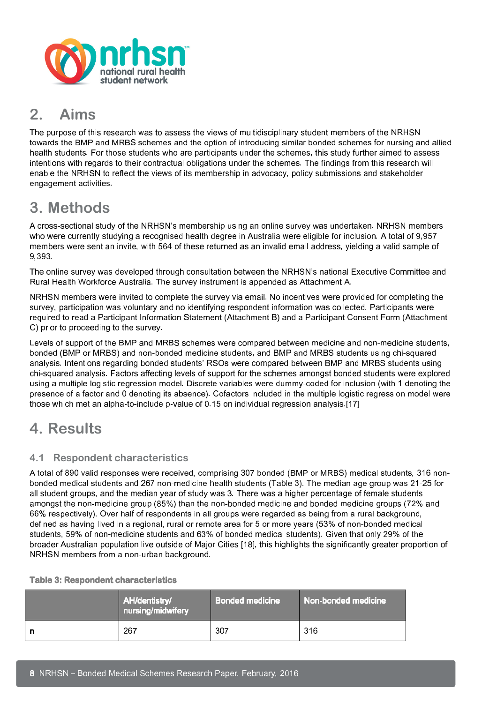

## 2. Aims

The purpose of this research was to assess the views of multidisciplinary student members of the NRHSN towards the BMP and MRBS schemes and the option of introducing similar bonded schemes for nursing and allied health students. For those students who are participants under the schemes, this study further aimed to assess intentions with regards to their contractual obligations under the schemes. The findings from this research will enable the NRHSN to reflect the views of its membership in advocacy, policy submissions and stakeholder engagement activities.

## 3. Methods

A cross-sectional study of the NRHSN's membership using an online survey was undertaken. NRHSN members who were currently studying a recognised health degree in Australia were eligible for inclusion. A total of 9,957 members were sent an invite, with 564 of these returned as an invalid email address, yielding a valid sample of 9,393.

The online survey was developed through consultation between the NRHSN's national Executive Committee and Rural Health Workforce Australia. The survey instrument is appended as Attachment A.

NRHSN members were invited to complete the survey via email. No incentives were provided for completing the survey, participation was voluntary and no identifying respondent information was collected. Participants were required to read a Participant Information Statement (Attachment B) and a Participant Consent Form (Attachment C) prior to proceeding to the survey.

Levels of support of the BMP and MRBS schemes were compared between medicine and non-medicine students, bonded (BMP or MRBS) and non-bonded medicine students, and BMP and MRBS students using chi-squared analysis. Intentions regarding bonded students' RSOs were compared between BMP and MRBS students using chi-squared analysis. Factors affecting levels of support for the schemes amongst bonded students were explored using a multiple logistic regression model. Discrete variables were dummy-coded for inclusion (with 1 denoting the presence of a factor and 0 denoting its absence). Cofactors included in the multiple logistic regression model were those which met an alpha-to-include p-value of 0.15 on individual regression analysis.[17]

## 4. Results

#### 4.1 Respondent characteristics

A total of 890 valid responses were received, comprising 307 bonded (BMP or MRBS) medical students, 316 nonbonded medical students and 267 non-medicine health students (Table 3). The median age group was 21-25 for all student groups, and the median year of study was 3. There was a higher percentage of female students amongst the non-medicine group (85%) than the non-bonded medicine and bonded medicine groups (72% and 66% respectively). Over half of respondents in all groups were regarded as being from a rural background, defined as having lived in a regional, rural or remote area for 5 or more years (53% of non-bonded medical students, 59% of non-medicine students and 63% of bonded medical students). Given that only 29% of the broader Australian population live outside of Major Cities [18], this highlights the significantly greater proportion of NRHSN members from a non-urban background.

#### Table 3: Respondent characteristics

|   | <b>AH/dentistry/</b><br>nursing/midwifery | Bonded medicine | Non-bonded medicine |
|---|-------------------------------------------|-----------------|---------------------|
| n | 267                                       | 307             | 316                 |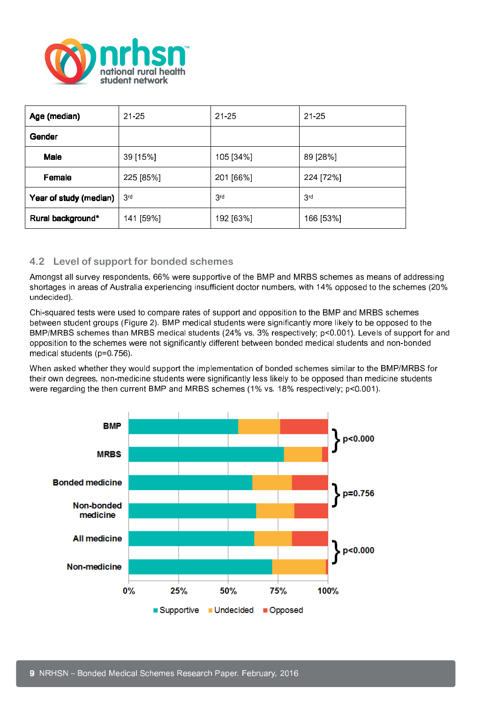

| Age (median)           | $21 - 25$       | $21 - 25$       | $21 - 25$       |
|------------------------|-----------------|-----------------|-----------------|
| Gender                 |                 |                 |                 |
| <b>Male</b>            | 39 [15%]        | 105 [34%]       | 89 [28%]        |
| Female                 | 225 [85%]       | 201 [66%]       | 224 [72%]       |
| Year of study (median) | 3 <sup>rd</sup> | 3 <sup>rd</sup> | 3 <sup>rd</sup> |
| Rural background*      | 141 [59%]       | 192 [63%]       | 166 [53%]       |

#### 4.2 Level of support for bonded schemes

Amongst all survey respondents, 66% were supportive of the BMP and MRBS schemes as means of addressing shortages in areas of Australia experiencing insufficient doctor numbers, with 14% opposed to the schemes (20% undecided).

Chi-squared tests were used to compare rates of support and opposition to the BMP and MRBS schemes between student groups (Figure 2). BMP medical students were significantly more likely to be opposed to the BMP/MRBS schemes than MRBS medical students (24% vs. 3% respectively; p<0.001). Levels of support for and opposition to the schemes were not significantly different between bonded medical students and non-bonded medical students (p=0.756).

When asked whether they would support the implementation of bonded schemes similar to the BMP/MRBS for their own degrees, non-medicine students were significantly less likely to be opposed than medicine students were regarding the then current BMP and MRBS schemes (1% vs. 18% respectively; p<0.001).

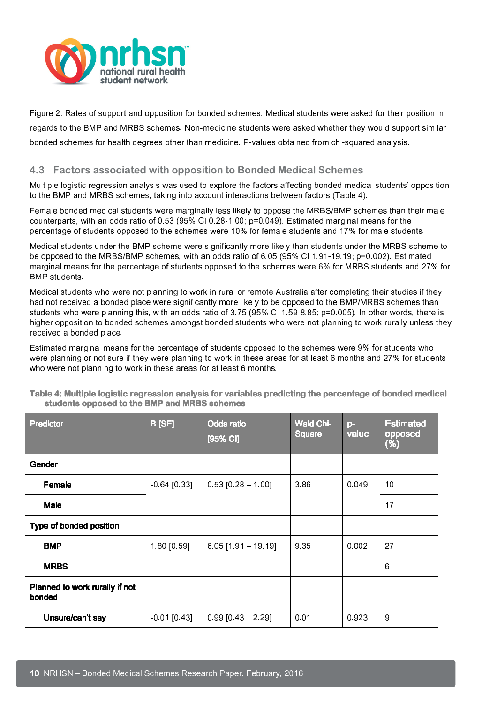

Figure 2: Rates of support and opposition for bonded schemes. Medical students were asked for their position in regards to the BMP and MRBS schemes. Non-medicine students were asked whether they would support similar bonded schemes for health degrees other than medicine. P-values obtained from chi-squared analysis.

#### 4.3 Factors associated with opposition to Bonded Medical Schemes

Multiple logistic regression analysis was used to explore the factors affecting bonded medical students' opposition to the BMP and MRBS schemes, taking into account interactions between factors (Table 4).

Female bonded medical students were marginally less likely to oppose the MRBS/BMP schemes than their male counterparts, with an odds ratio of 0.53 (95% CI 0.28-1.00; p=0.049). Estimated marginal means for the percentage of students opposed to the schemes were 10% for female students and 17% for male students.

Medical students under the BMP scheme were significantly more likely than students under the MRBS scheme to be opposed to the MRBS/BMP schemes, with an odds ratio of 6.05 (95% CI 1.91-19.19; p=0.002). Estimated marginal means for the percentage of students opposed to the schemes were 6% for MRBS students and 27% for BMP students.

Medical students who were not planning to work in rural or remote Australia after completing their studies if they had not received a bonded place were significantly more likely to be opposed to the BMP/MRBS schemes than students who were planning this, with an odds ratio of 3.75 (95% CI 1.59-8.85; p=0.005). In other words, there is higher opposition to bonded schemes amongst bonded students who were not planning to work rurally unless they received a bonded place.

Estimated marginal means for the percentage of students opposed to the schemes were 9% for students who were planning or not sure if they were planning to work in these areas for at least 6 months and 27% for students who were not planning to work in these areas for at least 6 months.

| Predictor                                | <b>B</b> [SE]  | <b>Odds ratio</b><br>[95% CI] | <b>Wald Chi-</b><br><b>Square</b> | $\mathsf{p}$<br>value | <b>Estimated</b><br>opposed<br>(%) |
|------------------------------------------|----------------|-------------------------------|-----------------------------------|-----------------------|------------------------------------|
| Gender                                   |                |                               |                                   |                       |                                    |
| <b>Female</b>                            | $-0.64$ [0.33] | $0.53$ [0.28 - 1.00]          | 386                               | 0.049                 | 10                                 |
| <b>Male</b>                              |                |                               |                                   |                       | 17                                 |
| Type of bonded position                  |                |                               |                                   |                       |                                    |
| <b>BMP</b>                               | 1.80 [0.59]    | $6.05$ [1.91 - 19.19]         | 9 3 5                             | 0.002                 | 27                                 |
| <b>MRBS</b>                              |                |                               |                                   |                       | 6                                  |
| Planned to work rurally if not<br>bonded |                |                               |                                   |                       |                                    |
| Unsure/can't say                         | $-0.01$ [0.43] | $0.99$ [0.43 - 2.29]          | 0.01                              | 0.923                 | 9                                  |

Table 4: Multiple logistic regression analysis for variables predicting the percentage of bonded medical students opposed to the BMP and MRBS schemes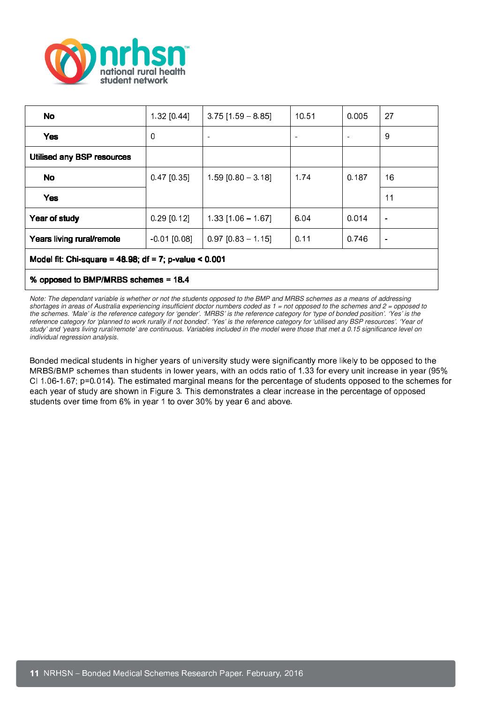

| No                                                       | 1 32 [0.44]    | $3.75$ [1.59 - 8.85] | 10.51 | 0.005 | 27                       |
|----------------------------------------------------------|----------------|----------------------|-------|-------|--------------------------|
| <b>Yes</b>                                               | 0              |                      |       |       | 9                        |
| <b>Utilised any BSP resources</b>                        |                |                      |       |       |                          |
| No                                                       | $0.47$ [0.35]  | $1.59$ [0.80 - 3.18] | 1.74  | 0.187 | 16                       |
| <b>Yes</b>                                               |                |                      |       |       | 11                       |
| Year of study                                            | $0.29$ [0.12]  | $1.33$ [1.06 - 1.67] | 6.04  | 0.014 | $\overline{\phantom{0}}$ |
| Years living rural/remote                                | $-0.01$ [0.08] | $0.97$ [0.83 - 1.15] | 0.11  | 0.746 | $\overline{\phantom{0}}$ |
| Model fit: Chi-square = 48.98; df = 7; p-value < $0.001$ |                |                      |       |       |                          |
| % opposed to BMP/MRBS schemes = 18.4                     |                |                      |       |       |                          |

Note: The dependant variable is whether or not the students opposed to the BMP and MRBS schemes as a means of addressing shortages in areas of Australia experiencing insufficient doctor numbers coded as  $1 = not$  opposed to the schemes and  $2 =$  opposed to the schemes. 'Male' is the reference category for 'gender'. 'MRBS' is the reference category for 'type of bonded position'. 'Yes' is the reference category for 'planned to work rurally if not bonded'. 'Yes' is the reference category for 'utilised any BSP resources'. 'Year of study' and 'years living rural/remote' are continuous. Variables included in the model were those that met a 0.15 significance level on individual regression analysis.

Bonded medical students in higher years of university study were significantly more likely to be opposed to the MRBS/BMP schemes than students in lower years, with an odds ratio of 1.33 for every unit increase in year (95% CI 1.06-1.67; p=0.014). The estimated marginal means for the percentage of students opposed to the schemes for each year of study are shown in Figure 3. This demonstrates a clear increase in the percentage of opposed students over time from 6% in year 1 to over 30% by year 6 and above.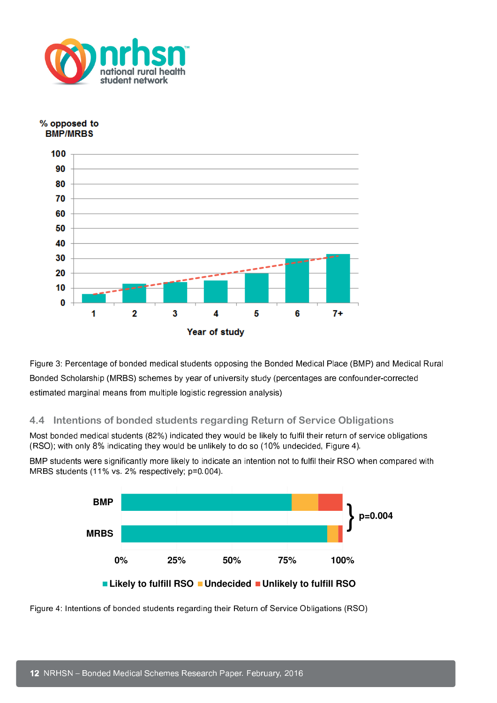



Figure 3: Percentage of bonded medical students opposing the Bonded Medical Place (BMP) and Medical Rural Bonded Scholarship (MRBS) schemes by year of university study (percentages are confounder-corrected estimated marginal means from multiple logistic regression analysis)

#### 4.4 Intentions of bonded students regarding Return of Service Obligations

Most bonded medical students (82%) indicated they would be likely to fulfil their return of service obligations (RSO); with only 8% indicating they would be unlikely to do so (10% undecided, Figure 4).

BMP students were significantly more likely to indicate an intention not to fulfil their RSO when compared with MRBS students (11% vs. 2% respectively; p=0.004).



Figure 4: Intentions of bonded students regarding their Return of Service Obligations (RSO)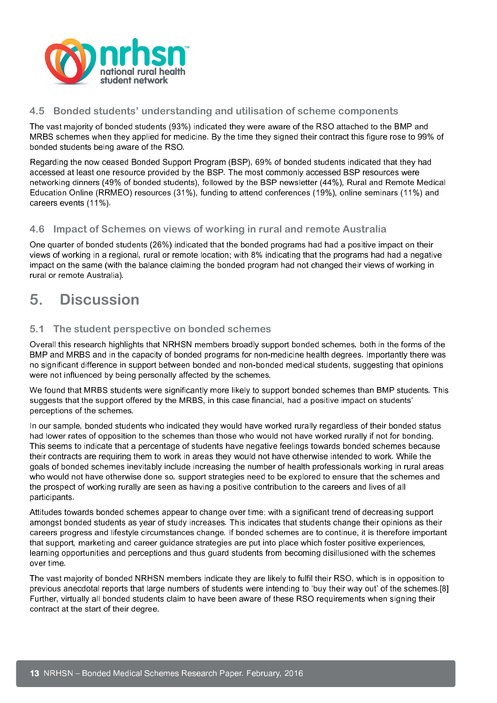

#### 4.5 Bonded students' understanding and utilisation of scheme components

The vast majority of bonded students (93%) indicated they were aware of the RSO attached to the BMP and MRBS schemes when they applied for medicine. By the time they signed their contract this figure rose to 99% of bonded students being aware of the RSO.

Regarding the now ceased Bonded Support Program (BSP), 69% of bonded students indicated that they had accessed at least one resource provided by the BSP. The most commonly accessed BSP resources were networking dinners (49% of bonded students), followed by the BSP newsletter (44%), Rural and Remote Medical Education Online (RRMEO) resources (31%), funding to attend conferences (19%), online seminars (11%) and careers events (11%).

#### 4.6 Impact of Schemes on views of working in rural and remote Australia

One quarter of bonded students (26%) indicated that the bonded programs had had a positive impact on their views of working in a regional, rural or remote location; with 8% indicating that the programs had had a negative impact on the same (with the balance claiming the bonded program had not changed their views of working in rural or remote Australia).

## 5. Discussion

#### 5.1 The student perspective on bonded schemes

Overall this research highlights that NRHSN members broadly support bonded schemes, both in the forms of the BMP and MRBS and in the capacity of bonded programs for non-medicine health degrees. Importantly there was no significant difference in support between bonded and non-bonded medical students, suggesting that opinions were not influenced by being personally affected by the schemes.

We found that MRBS students were significantly more likely to support bonded schemes than BMP students. This suggests that the support offered by the MRBS, in this case financial, had a positive impact on students' perceptions of the schemes.

In our sample, bonded students who indicated they would have worked rurally regardless of their bonded status had lower rates of opposition to the schemes than those who would not have worked rurally if not for bonding. This seems to indicate that a percentage of students have negative feelings towards bonded schemes because their contracts are requiring them to work in areas they would not have otherwise intended to work. While the goals of bonded schemes inevitably include increasing the number of health professionals working in rural areas who would not have otherwise done so, support strategies need to be explored to ensure that the schemes and the prospect of working rurally are seen as having a positive contribution to the careers and lives of all participants.

Attitudes towards bonded schemes appear to change over time; with a significant trend of decreasing support amongst bonded students as year of study increases. This indicates that students change their opinions as their careers progress and lifestyle circumstances change. If bonded schemes are to continue, it is therefore important that support, marketing and career guidance strategies are put into place which foster positive experiences, learning opportunities and perceptions and thus guard students from becoming disillusioned with the schemes over time.

The vast majority of bonded NRHSN members indicate they are likely to fulfil their RSO, which is in opposition to previous anecdotal reports that large numbers of students were intending to 'buy their way out' of the schemes.[8] Further, virtually all bonded students claim to have been aware of these RSO requirements when signing their contract at the start of their degree.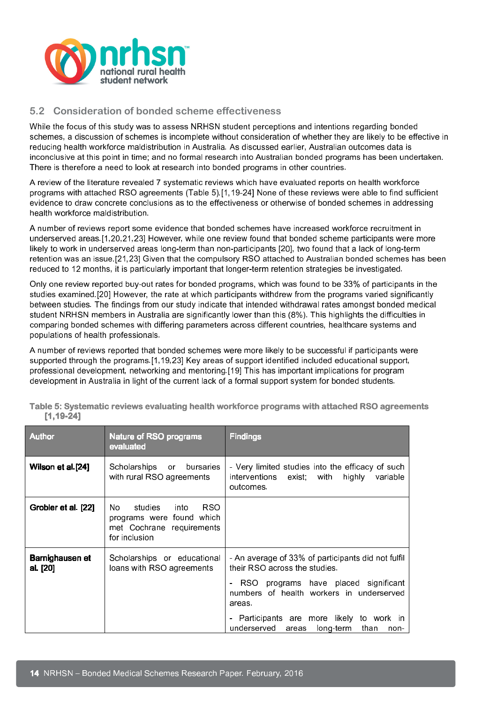

#### 5.2 Consideration of bonded scheme effectiveness

While the focus of this study was to assess NRHSN student perceptions and intentions regarding bonded schemes, a discussion of schemes is incomplete without consideration of whether they are likely to be effective in reducing health workforce maldistribution in Australia. As discussed earlier, Australian outcomes data is inconclusive at this point in time; and no formal research into Australian bonded programs has been undertaken. There is therefore a need to look at research into bonded programs in other countries.

A review of the literature revealed 7 systematic reviews which have evaluated reports on health workforce programs with attached RSO agreements (Table 5).[1,19-24] None of these reviews were able to find sufficient evidence to draw concrete conclusions as to the effectiveness or otherwise of bonded schemes in addressing health workforce maldistribution.

A number of reviews report some evidence that bonded schemes have increased workforce recruitment in underserved areas.[1,20,21,23] However, while one review found that bonded scheme participants were more likely to work in underserved areas long-term than non-participants [20], two found that a lack of long-term retention was an issue.[21,23] Given that the compulsory RSO attached to Australian bonded schemes has been reduced to 12 months, it is particularly important that longer-term retention strategies be investigated.

Only one review reported buy-out rates for bonded programs, which was found to be 33% of participants in the studies examined.[20] However, the rate at which participants withdrew from the programs varied significantly between studies. The findings from our study indicate that intended withdrawal rates amongst bonded medical student NRHSN members in Australia are significantly lower than this (8%). This highlights the difficulties in comparing bonded schemes with differing parameters across different countries, healthcare systems and populations of health professionals.

A number of reviews reported that bonded schemes were more likely to be successful if participants were supported through the programs.[1,19,23] Key areas of support identified included educational support, professional development, networking and mentoring.[19] This has important implications for program development in Australia in light of the current lack of a formal support system for bonded students.

| <b>Author</b>               | Nature of RSO programs<br>evaluated                                                                               | <b>Findings</b>                                                                                                                                                                                                                                                                 |
|-----------------------------|-------------------------------------------------------------------------------------------------------------------|---------------------------------------------------------------------------------------------------------------------------------------------------------------------------------------------------------------------------------------------------------------------------------|
| Wilson et al.[24]           | Scholarships<br>bursaries<br>or<br>with rural RSO agreements                                                      | - Very limited studies into the efficacy of such<br>interventions exist; with<br>highly<br>variable<br>outcomes.                                                                                                                                                                |
| Grobler et al. [22]         | <b>RSO</b><br>studies<br>into i<br>No.<br>programs were found which<br>met Cochrane requirements<br>for inclusion |                                                                                                                                                                                                                                                                                 |
| Barnighausen et<br>al. [20] | Scholarships or educational<br>loans with RSO agreements                                                          | - An average of 33% of participants did not fulfil<br>their RSO across the studies<br>RSO programs have placed significant<br>numbers of health workers in underserved<br>areas.<br>- Participants are more likely to work in<br>underserved areas<br>long-term<br>than<br>non- |

Table 5: Systematic reviews evaluating health workforce programs with attached RSO agreements [1,19-24]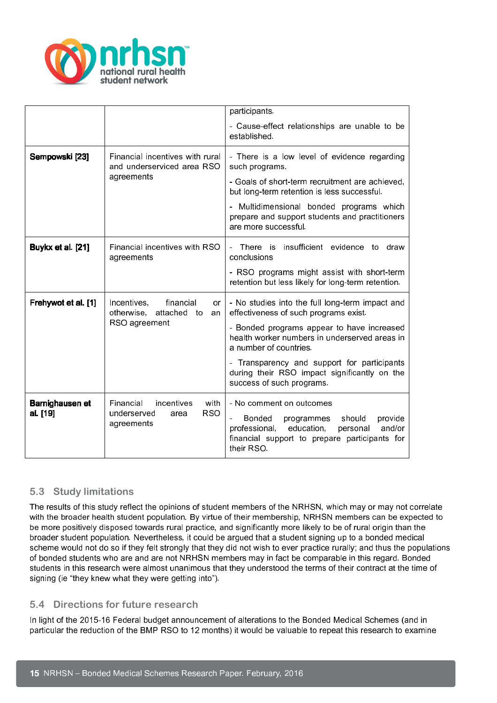

|                                                                                          |                                                                                    | participants.                                                                                                                                                                                    |
|------------------------------------------------------------------------------------------|------------------------------------------------------------------------------------|--------------------------------------------------------------------------------------------------------------------------------------------------------------------------------------------------|
|                                                                                          |                                                                                    | - Cause-effect relationships are unable to be<br>established.                                                                                                                                    |
| Sempowski [23]                                                                           | Financial incentives with rural<br>and underserviced area RSO                      | - There is a low level of evidence regarding<br>such programs.                                                                                                                                   |
|                                                                                          | agreements                                                                         | - Goals of short-term recruitment are achieved,<br>but long-term retention is less successful.                                                                                                   |
|                                                                                          |                                                                                    | - Multidimensional bonded programs which<br>prepare and support students and practitioners<br>are more successful.                                                                               |
| Buykx et al. [21]                                                                        | Financial incentives with RSO<br>agreements                                        | insufficient evidence to<br>There is<br>draw<br>conclusions                                                                                                                                      |
|                                                                                          |                                                                                    | - RSO programs might assist with short-term<br>retention but less likely for long-term retention.                                                                                                |
| Frehywot et al. [1]<br>Incentives,<br>financial<br>or<br>otherwise,<br>attached to<br>an |                                                                                    | - No studies into the full long-term impact and<br>effectiveness of such programs exist.                                                                                                         |
|                                                                                          | RSO agreement                                                                      | - Bonded programs appear to have increased<br>health worker numbers in underserved areas in<br>a number of countries.                                                                            |
|                                                                                          |                                                                                    | - Transparency and support for participants<br>during their RSO impact significantly on the<br>success of such programs.                                                                         |
| Barnighausen et<br>al. [19]                                                              | Financial<br>incentives<br>with<br><b>RSO</b><br>underserved<br>area<br>agreements | - No comment on outcomes<br><b>Bonded</b><br>should<br>provide<br>programmes<br>education,<br>and/or<br>professional,<br>personal<br>financial support to prepare participants for<br>their RSO. |

#### 5.3 Study limitations

The results of this study reflect the opinions of student members of the NRHSN, which may or may not correlate with the broader health student population. By virtue of their membership, NRHSN members can be expected to be more positively disposed towards rural practice, and significantly more likely to be of rural origin than the broader student population. Nevertheless, it could be argued that a student signing up to a bonded medical scheme would not do so if they felt strongly that they did not wish to ever practice rurally; and thus the populations of bonded students who are and are not NRHSN members may in fact be comparable in this regard. Bonded students in this research were almost unanimous that they understood the terms of their contract at the time of signing (ie "they knew what they were getting into").

#### 5.4 Directions for future research

In light of the 2015-16 Federal budget announcement of alterations to the Bonded Medical Schemes (and in particular the reduction of the BMP RSO to 12 months) it would be valuable to repeat this research to examine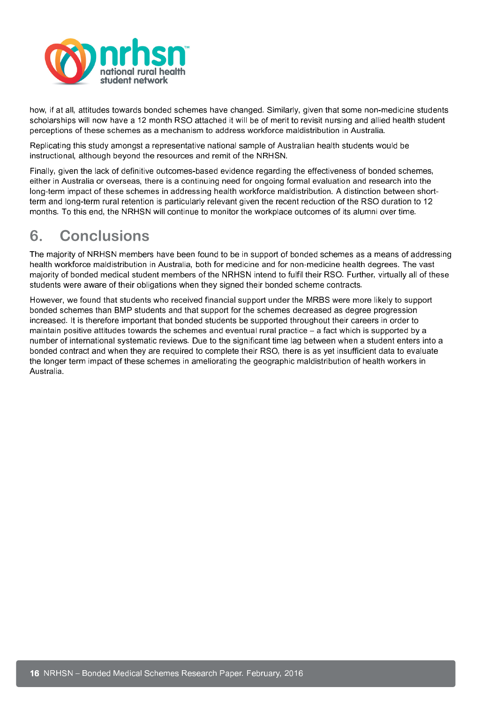

how, if at all, attitudes towards bonded schemes have changed. Similarly, given that some non-medicine students scholarships will now have a 12 month RSO attached it will be of merit to revisit nursing and allied health student perceptions of these schemes as a mechanism to address workforce maldistribution in Australia.

Replicating this study amongst a representative national sample of Australian health students would be instructional, although beyond the resources and remit of the NRHSN.

Finally, given the lack of definitive outcomes-based evidence regarding the effectiveness of bonded schemes, either in Australia or overseas, there is a continuing need for ongoing formal evaluation and research into the long-term impact of these schemes in addressing health workforce maldistribution. A distinction between shortterm and long-term rural retention is particularly relevant given the recent reduction of the RSO duration to 12 months. To this end, the NRHSN will continue to monitor the workplace outcomes of its alumni over time.

## 6. Conclusions

The majority of NRHSN members have been found to be in support of bonded schemes as a means of addressing health workforce maldistribution in Australia, both for medicine and for non-medicine health degrees. The vast majority of bonded medical student members of the NRHSN intend to fulfil their RSO. Further, virtually all of these students were aware of their obligations when they signed their bonded scheme contracts.

However, we found that students who received financial support under the MRBS were more likely to support bonded schemes than BMP students and that support for the schemes decreased as degree progression increased. It is therefore important that bonded students be supported throughout their careers in order to maintain positive attitudes towards the schemes and eventual rural practice – a fact which is supported by a number of international systematic reviews. Due to the significant time lag between when a student enters into a bonded contract and when they are required to complete their RSO, there is as yet insufficient data to evaluate the longer term impact of these schemes in ameliorating the geographic maldistribution of health workers in Australia.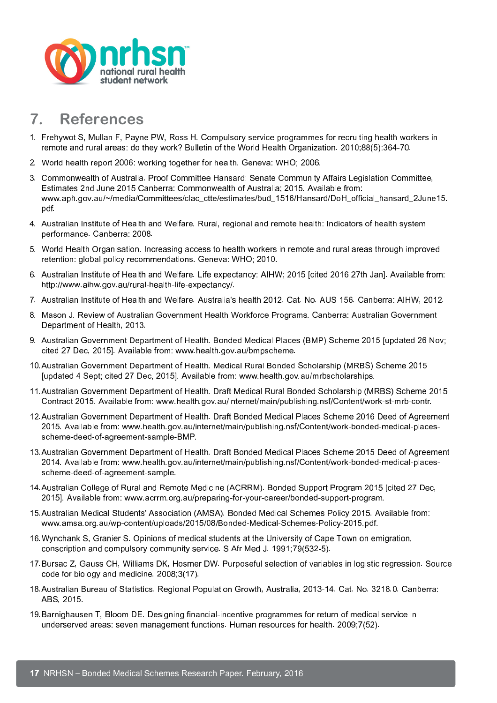

## 7. References

- 1. Frehywot S, Mullan F, Payne PW, Ross H. Compulsory service programmes for recruiting health workers in remote and rural areas: do they work? Bulletin of the World Health Organization. 2010;88(5):364-70.
- 2. World health report 2006: working together for health. Geneva: WHO; 2006.
- 3. Commonwealth of Australia. Proof Committee Hansard: Senate Community Affairs Legislation Committee, Estimates 2nd June 2015 Canberra: Commonwealth of Australia; 2015. Available from: www.aph.gov.au/~/media/Committees/clac\_ctte/estimates/bud\_1516/Hansard/DoH\_official\_hansard\_2June15. pdf.
- 4. Australian Institute of Health and Welfare. Rural, regional and remote health: Indicators of health system performance. Canberra: 2008.
- 5. World Health Organisation. Increasing access to health workers in remote and rural areas through improved retention: global policy recommendations. Geneva: WHO; 2010.
- 6. Australian Institute of Health and Welfare. Life expectancy: AIHW; 2015 [cited 2016 27th Jan]. Available from: http://www.aihw.gov.au/rural-health-life-expectancy/.
- 7. Australian Institute of Health and Welfare. Australia's health 2012. Cat. No. AUS 156. Canberra: AIHW, 2012.
- 8. Mason J. Review of Australian Government Health Workforce Programs. Canberra: Australian Government Department of Health, 2013.
- 9. Australian Government Department of Health. Bonded Medical Places (BMP) Scheme 2015 [updated 26 Nov; cited 27 Dec, 2015]. Available from: www.health.gov.au/bmpscheme.
- 10.Australian Government Department of Health. Medical Rural Bonded Scholarship (MRBS) Scheme 2015 [updated 4 Sept; cited 27 Dec, 2015]. Available from: www.health.gov.au/mrbscholarships.
- 11.Australian Government Department of Health. Draft Medical Rural Bonded Scholarship (MRBS) Scheme 2015 Contract 2015. Available from: www.health.gov.au/internet/main/publishing.nsf/Content/work-st-mrb-contr.
- 12.Australian Government Department of Health. Draft Bonded Medical Places Scheme 2016 Deed of Agreement 2015. Available from: www.health.gov.au/internet/main/publishing.nsf/Content/work-bonded-medical-placesscheme-deed-of-agreement-sample-BMP.
- 13.Australian Government Department of Health. Draft Bonded Medical Places Scheme 2015 Deed of Agreement 2014. Available from: www.health.gov.au/internet/main/publishing.nsf/Content/work-bonded-medical-placesscheme-deed-of-agreement-sample.
- 14.Australian College of Rural and Remote Medicine (ACRRM). Bonded Support Program 2015 [cited 27 Dec, 2015]. Available from: www.acrrm.org.au/preparing-for-your-career/bonded-support-program.
- 15.Australian Medical Students' Association (AMSA). Bonded Medical Schemes Policy 2015. Available from: www.amsa.org.au/wp-content/uploads/2015/08/Bonded-Medical-Schemes-Policy-2015.pdf.
- 16.Wynchank S, Granier S. Opinions of medical students at the University of Cape Town on emigration, conscription and compulsory community service. S Afr Med J. 1991;79(532-5).
- 17.Bursac Z, Gauss CH, Williams DK, Hosmer DW. Purposeful selection of variables in logistic regression. Source code for biology and medicine. 2008;3(17).
- 18.Australian Bureau of Statistics. Regional Population Growth, Australia, 2013-14. Cat. No. 3218.0. Canberra: ABS, 2015.
- 19.Barnighausen T, Bloom DE. Designing financial-incentive programmes for return of medical service in underserved areas: seven management functions. Human resources for health. 2009;7(52).